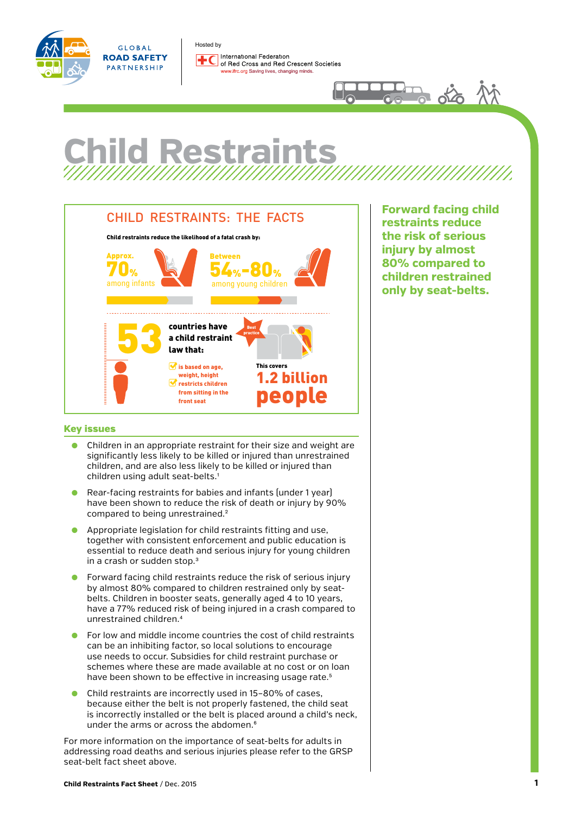



Hosted byInternational Federation of Red Cross and Red Crescent Societies w.ifrc.org Saving lives, changing minds.

## **Child Restraints**



**Forward facing child restraints reduce the risk of serious injury by almost 80% compared to children restrained only by seat-belts.**

## Key issues **countries**

Law requires child restraints based

- Children in an appropriate restraint for their size and weight are significantly less likely to be killed or injured than unrestrained children, and are also less likely to be killed or injured than children using adult seat-belts.1
- Rear-facing restraints for babies and infants (under 1 year) have been shown to reduce the risk of death or injury by 90% compared to being unrestrained.<sup>2</sup>
- Appropriate legislation for child restraints fitting and use. together with consistent enforcement and public education is wegenter man conclocent on or content and pashe calculation to in a crash or sudden stop.<sup>3</sup>
- Forward facing child restraints reduce the risk of serious injury by almost 80% compared to children restrained only by seatbelts. Children in booster seats, generally aged 4 to 10 years, have a 77% reduced risk of being injured in a crash compared to unrestrained children.4
- For low and middle income countries the cost of child restraints can be an inhibiting factor, so local solutions to encourage use needs to occur. Subsidies for child restraint purchase or schemes where these are made available at no cost or on loan have been shown to be effective in increasing usage rate.<sup>5</sup>
- Child restraints are incorrectly used in 15-80% of cases, because either the belt is not properly fastened, the child seat is incorrectly installed or the belt is placed around a child's neck, under the arms or across the abdomen.<sup>[6](#page-3-0)</sup>

For more information on the importance of seat-belts for adults in addressing road deaths and serious injuries please refer to the GRSP seat-belt fact sheet above.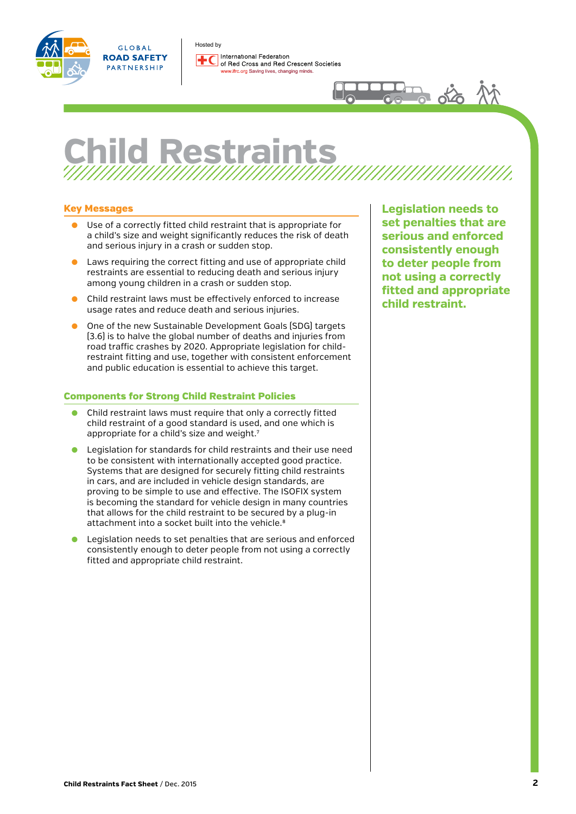Hosted by



GLOBAL **ROAD SAFETY** PARTNERSHIP

International Federation of Red Cross and Red Crescent Societies ifrc.org Saving lives, changing minds.



## **Child Restrain**

## Key Messages

- Use of a correctly fitted child restraint that is appropriate for a child's size and weight significantly reduces the risk of death and serious injury in a crash or sudden stop.
- Laws requiring the correct fitting and use of appropriate child restraints are essential to reducing death and serious injury among young children in a crash or sudden stop.
- Child restraint laws must be effectively enforced to increase usage rates and reduce death and serious injuries.
- One of the new Sustainable Development Goals (SDG) targets (3.6) is to halve the global number of deaths and injuries from road traffic crashes by 2020. Appropriate legislation for childrestraint fitting and use, together with consistent enforcement and public education is essential to achieve this target.

## Components for Strong Child Restraint Policies

- Child restraint laws must require that only a correctly fitted child restraint of a good standard is used, and one which is appropriate for a child's size and weight.<sup>7</sup>
- Legislation for standards for child restraints and their use need to be consistent with internationally accepted good practice. Systems that are designed for securely fitting child restraints in cars, and are included in vehicle design standards, are proving to be simple to use and effective. The ISOFIX system is becoming the standard for vehicle design in many countries that allows for the child restraint to be secured by a plug-in attachment into a socket built into the vehicle.<sup>8</sup>
- Legislation needs to set penalties that are serious and enforced consistently enough to deter people from not using a correctly fitted and appropriate child restraint.

**Legislation needs to set penalties that are serious and enforced consistently enough to deter people from not using a correctly fitted and appropriate child restraint.**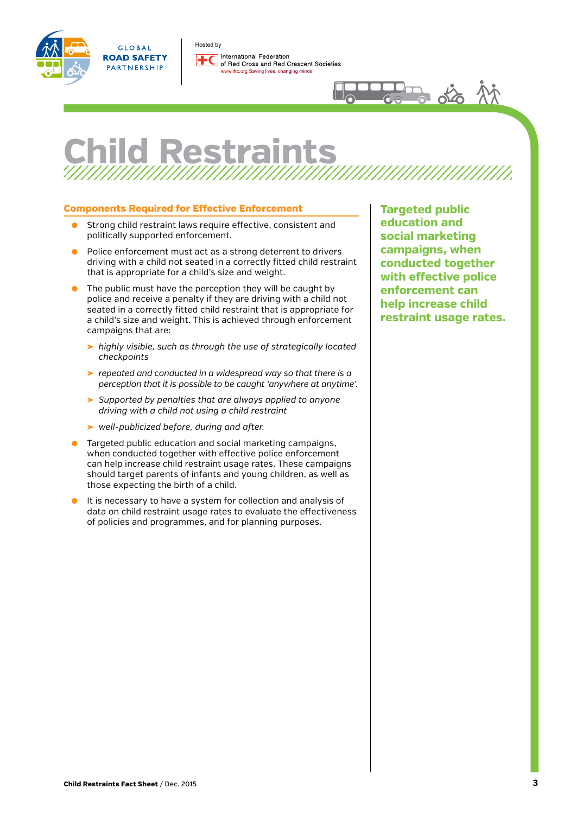

GLOBAL **ROAD SAFETY** PARTNERSHIP

Hosted byInternational Federation of Red Cross and Red Crescent Societies ifrc.org Saving lives, changing minds.



# **Child Restraints**

## Components Required for Effective Enforcement

- Strong child restraint laws require effective, consistent and politically supported enforcement.
- Police enforcement must act as a strong deterrent to drivers driving with a child not seated in a correctly fitted child restraint that is appropriate for a child's size and weight.
- The public must have the perception they will be caught by police and receive a penalty if they are driving with a child not seated in a correctly fitted child restraint that is appropriate for a child's size and weight. This is achieved through enforcement campaigns that are:
	- ➤ *highly visible, such as through the use of strategically located checkpoints*
	- ➤ *repeated and conducted in a widespread way so that there is a perception that it is possible to be caught 'anywhere at anytime'.*
	- ➤ *Supported by penalties that are always applied to anyone driving with a child not using a child restraint*
	- ➤ *well-publicized before, during and after.*
- Targeted public education and social marketing campaigns. when conducted together with effective police enforcement can help increase child restraint usage rates. These campaigns should target parents of infants and young children, as well as those expecting the birth of a child.
- It is necessary to have a system for collection and analysis of data on child restraint usage rates to evaluate the effectiveness of policies and programmes, and for planning purposes.

**Targeted public education and social marketing campaigns, when conducted together with effective police enforcement can help increase child restraint usage rates.**